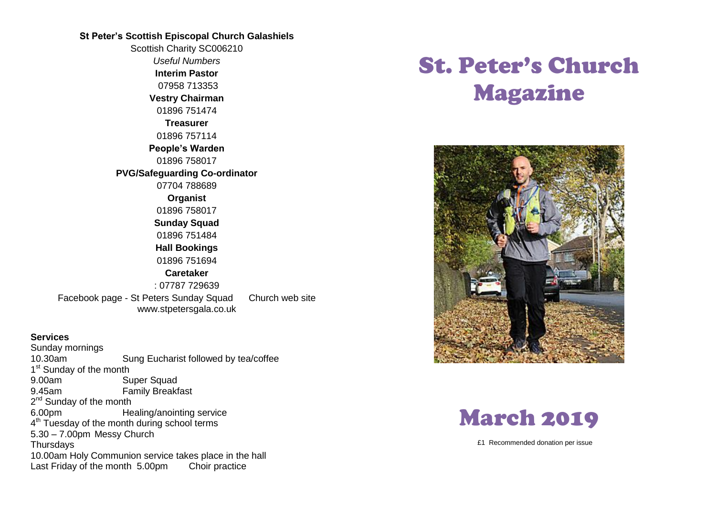## **St Peter's Scottish Episcopal Church Galashiels**

Scottish Charity SC006210 *Useful Numbers*  **Interim Pastor** 07958 713353 **Vestry Chairman** 01896 751474 **Treasurer** 01896 757114 **People's Warden** 01896 758017 **PVG/Safeguarding Co-ordinator** 07704 788689 **Organist** 01896 758017 **Sunday Squad** 01896 751484 **Hall Bookings** 01896 751694 **Caretaker** : 07787 729639 Facebook page - St Peters Sunday Squad Church web site www.stpetersgala.co.uk

#### **Services**

Sunday mornings 10.30am Sung Eucharist followed by tea/coffee 1<sup>st</sup> Sunday of the month 9.00am Super Squad 9.45am Family Breakfast 2<sup>nd</sup> Sunday of the month 6.00pm Healing/anointing service 4<sup>th</sup> Tuesday of the month during school terms 5.30 – 7.00pm Messy Church **Thursdays** 10.00am Holy Communion service takes place in the hall Last Friday of the month 5.00pm Choir practice

# St. Peter's Church Magazine





£1 Recommended donation per issue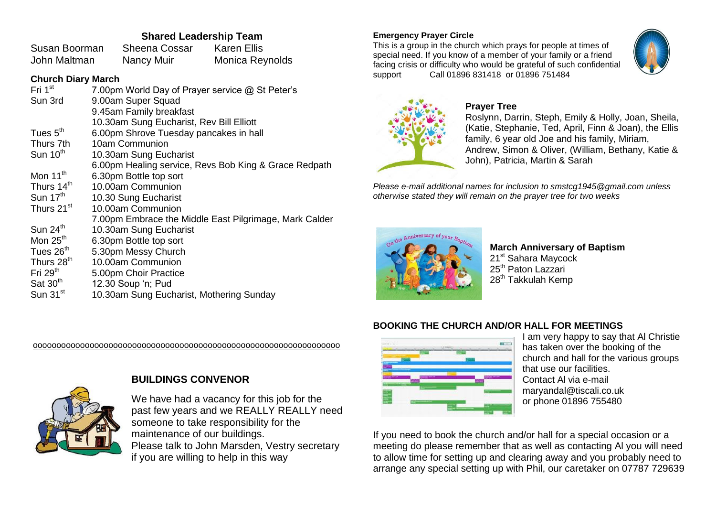## **Shared Leadership Team**

| Susan Boorman | <b>Sheena Cossar</b> | <b>Karen Ellis</b> |
|---------------|----------------------|--------------------|
| John Maltman  | <b>Nancy Muir</b>    | Monica Reynolds    |

## **Church Diary March**

| Fri 1 <sup>st</sup>    | 7.00pm World Day of Prayer service @ St Peter's        |
|------------------------|--------------------------------------------------------|
| Sun 3rd                | 9.00am Super Squad                                     |
|                        | 9.45am Family breakfast                                |
|                        | 10.30am Sung Eucharist, Rev Bill Elliott               |
| Tues $5th$             | 6.00pm Shrove Tuesday pancakes in hall                 |
| Thurs 7th              | 10am Communion                                         |
| Sun $10th$             | 10.30am Sung Eucharist                                 |
|                        | 6.00pm Healing service, Revs Bob King & Grace Redpath  |
| Mon $11^{th}$          | 6.30pm Bottle top sort                                 |
| Thurs 14 <sup>th</sup> | 10.00am Communion                                      |
| Sun $17th$             | 10.30 Sung Eucharist                                   |
| Thurs 21 <sup>st</sup> | 10.00am Communion                                      |
|                        | 7.00pm Embrace the Middle East Pilgrimage, Mark Calder |
| Sun 24 <sup>th</sup>   | 10.30am Sung Eucharist                                 |
| Mon $25th$             | 6.30pm Bottle top sort                                 |
| Tues 26th              | 5.30pm Messy Church                                    |
| Thurs 28 <sup>th</sup> | 10.00am Communion                                      |
| Fri $29th$             | 5.00pm Choir Practice                                  |
| Sat 30 <sup>th</sup>   | 12.30 Soup 'n; Pud                                     |
| Sun 31 <sup>st</sup>   | 10.30am Sung Eucharist, Mothering Sunday               |

ooooooooooooooooooooooooooooooooooooooooooooooooooooooooooooooooo

**Emergency Prayer Circle**

This is a group in the church which prays for people at times of special need. If you know of a member of your family or a friend facing crisis or difficulty who would be grateful of such confidential support Call 01896 831418 or 01896 751484





### **Prayer Tree**

Roslynn, Darrin, Steph, Emily & Holly, Joan, Sheila, (Katie, Stephanie, Ted, April, Finn & Joan), the Ellis family, 6 year old Joe and his family, Miriam, Andrew, Simon & Oliver, (William, Bethany, Katie & John), Patricia, Martin & Sarah

*Please e-mail additional names for inclusion to smstcg1945@gmail.com unless otherwise stated they will remain on the prayer tree for two weeks*



**March Anniversary of Baptism** 21<sup>st</sup> Sahara Maycock 25<sup>th</sup> Paton Lazzari 28<sup>th</sup> Takkulah Kemp

## **BOOKING THE CHURCH AND/OR HALL FOR MEETINGS**



I am very happy to say that Al Christie has taken over the booking of the church and hall for the various groups that use our facilities. Contact Al via e-mail maryandal@tiscali.co.uk or phone 01896 755480

If you need to book the church and/or hall for a special occasion or a meeting do please remember that as well as contacting Al you will need to allow time for setting up and clearing away and you probably need to arrange any special setting up with Phil, our caretaker on 07787 729639



We have had a vacancy for this job for the past few years and we REALLY REALLY need someone to take responsibility for the maintenance of our buildings. Please talk to John Marsden, Vestry secretary if you are willing to help in this way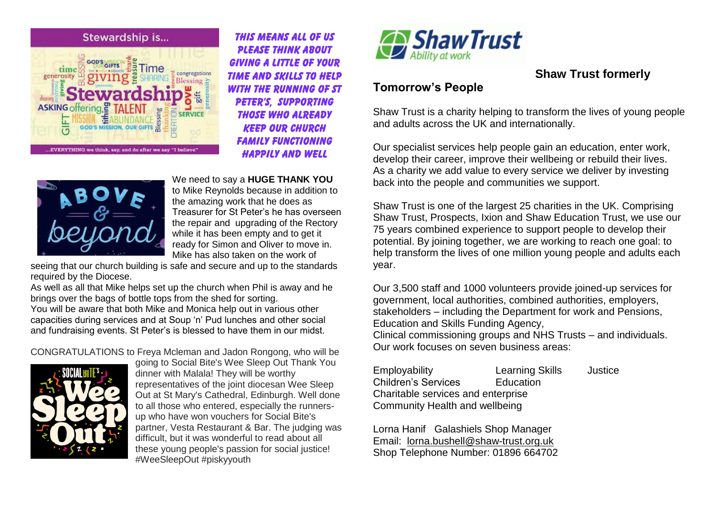

*This means all of us Please think about giving a little of your time and skills to help with the running of St peter's, supporting those who already keep our church family functioning happily and well*



We need to say a **HUGE THANK YOU** to Mike Reynolds because in addition to the amazing work that he does as Treasurer for St Peter's he has overseen the repair and upgrading of the Rectory while it has been empty and to get it ready for Simon and Oliver to move in. Mike has also taken on the work of

seeing that our church building is safe and secure and up to the standards required by the Diocese.

As well as all that Mike helps set up the church when Phil is away and he brings over the bags of bottle tops from the shed for sorting. You will be aware that both Mike and Monica help out in various other capacities during services and at Soup 'n' Pud lunches and other social and fundraising events. St Peter's is blessed to have them in our midst.

CONGRATULATIONS to Freya Mcleman and Jadon Rongong, who will be



going to Social Bite's Wee Sleep Out Thank You dinner with Malala! They will be worthy representatives of the joint diocesan Wee Sleep Out at St Mary's Cathedral, Edinburgh. Well done to all those who entered, especially the runnersup who have won vouchers for Social Bite's partner, Vesta Restaurant & Bar. The judging was difficult, but it was wonderful to read about all these young people's passion for social justice! #WeeSleepOut #piskyyouth



# **Shaw Trust formerly**

# **Tomorrow's People**

Shaw Trust is a charity helping to transform the lives of young people and adults across the UK and internationally.

Our specialist services help people gain an education, enter work, develop their career, improve their wellbeing or rebuild their lives. As a charity we add value to every service we deliver by investing back into the people and communities we support.

Shaw Trust is one of the largest 25 charities in the UK. Comprising Shaw Trust, Prospects, Ixion and Shaw Education Trust, we use our 75 years combined experience to support people to develop their potential. By joining together, we are working to reach one goal: to help transform the lives of one million young people and adults each year.

Our 3,500 staff and 1000 volunteers provide joined-up services for government, local authorities, combined authorities, employers, stakeholders – including the Department for work and Pensions, Education and Skills Funding Agency,

Clinical commissioning groups and NHS Trusts – and individuals. Our work focuses on seven business areas:

| Employability                      | <b>Learning Skills</b> | Justice |
|------------------------------------|------------------------|---------|
| <b>Children's Services</b>         | Education              |         |
| Charitable services and enterprise |                        |         |
| Community Health and wellbeing     |                        |         |

Lorna Hanif Galashiels Shop Manager Email: [lorna.bushell@shaw-trust.org.uk](mailto:lorna.bushell@shaw-trust.org.uk) Shop Telephone Number: 01896 664702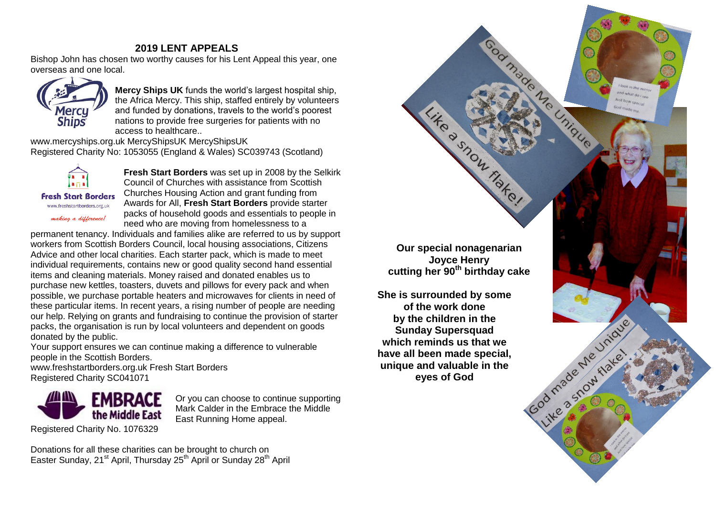## **2019 LENT APPEALS**

Bishop John has chosen two worthy causes for his Lent Appeal this year, one overseas and one local.



**Mercy Ships UK** funds the world's largest hospital ship, the Africa Mercy. This ship, staffed entirely by volunteers and funded by donations, travels to the world's poorest nations to provide free surgeries for patients with no access to healthcare..

www.mercyships.org.uk MercyShipsUK MercyShipsUK Registered Charity No: 1053055 (England & Wales) SC039743 (Scotland)



**Fresh Start Borders** www.freshstartborders.org.uk

making a difference!

**Fresh Start Borders** was set up in 2008 by the Selkirk Council of Churches with assistance from Scottish Churches Housing Action and grant funding from Awards for All, **Fresh Start Borders** provide starter packs of household goods and essentials to people in need who are moving from homelessness to a

permanent tenancy. Individuals and families alike are referred to us by support workers from Scottish Borders Council, local housing associations, Citizens Advice and other local charities. Each starter pack, which is made to meet individual requirements, contains new or good quality second hand essential items and cleaning materials. Money raised and donated enables us to purchase new kettles, toasters, duvets and pillows for every pack and when possible, we purchase portable heaters and microwaves for clients in need of these particular items. In recent years, a rising number of people are needing our help. Relying on grants and fundraising to continue the provision of starter packs, the organisation is run by local volunteers and dependent on goods donated by the public.

Your support ensures we can continue making a difference to vulnerable people in the Scottish Borders.

www.freshstartborders.org.uk Fresh Start Borders Registered Charity SC041071



Or you can choose to continue supporting Mark Calder in the Embrace the Middle East Running Home appeal.

Donations for all these charities can be brought to church on Easter Sunday, 21<sup>st</sup> April, Thursday 25<sup>th</sup> April or Sunday 28<sup>th</sup> April

**Our special nonagenarian Joyce Henry cutting her 90th birthday cake**

Passpon

Fiake!

Unique

God made Me unique

Like a show flate.

**She is surrounded by some of the work done by the children in the Sunday Supersquad which reminds us that we have all been made special, unique and valuable in the eyes of God**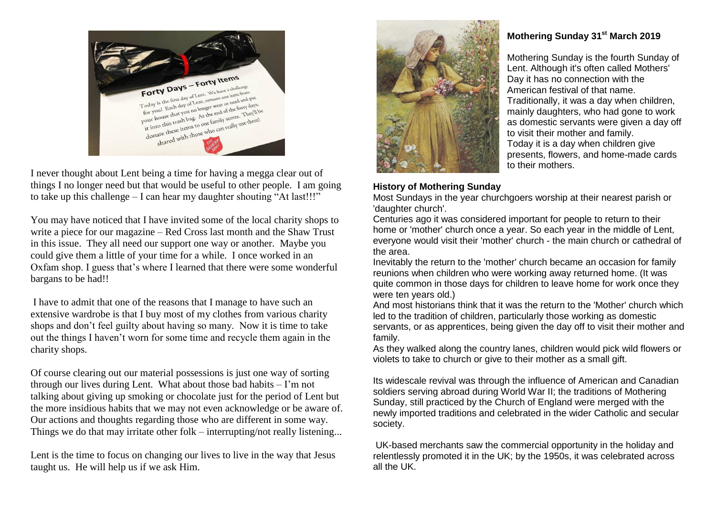

I never thought about Lent being a time for having a megga clear out of things I no longer need but that would be useful to other people. I am going to take up this challenge – I can hear my daughter shouting "At last!!!"

You may have noticed that I have invited some of the local charity shops to write a piece for our magazine – Red Cross last month and the Shaw Trust in this issue. They all need our support one way or another. Maybe you could give them a little of your time for a while. I once worked in an Oxfam shop. I guess that's where I learned that there were some wonderful bargans to be had!!

I have to admit that one of the reasons that I manage to have such an extensive wardrobe is that I buy most of my clothes from various charity shops and don't feel guilty about having so many. Now it is time to take out the things I haven't worn for some time and recycle them again in the charity shops.

Of course clearing out our material possessions is just one way of sorting through our lives during Lent. What about those bad habits – I'm not talking about giving up smoking or chocolate just for the period of Lent but the more insidious habits that we may not even acknowledge or be aware of. Our actions and thoughts regarding those who are different in some way. Things we do that may irritate other folk – interrupting/not really listening...

Lent is the time to focus on changing our lives to live in the way that Jesus taught us. He will help us if we ask Him.



## **History of Mothering Sunday**

Most Sundays in the year churchgoers worship at their nearest parish or 'daughter church'.

Centuries ago it was considered important for people to return to their home or 'mother' church once a year. So each year in the middle of Lent, everyone would visit their 'mother' church - the main church or cathedral of the area.

Inevitably the return to the 'mother' church became an occasion for family reunions when children who were working away returned home. (It was quite common in those days for children to leave home for work once they were ten years old.)

And most historians think that it was the return to the 'Mother' church which led to the tradition of children, particularly those working as domestic servants, or as apprentices, being given the day off to visit their mother and family.

As they walked along the country lanes, children would pick wild flowers or violets to take to church or give to their mother as a small gift.

Its widescale revival was through the influence of American and Canadian soldiers serving abroad during [World War II;](https://en.wikipedia.org/wiki/World_War_II) the traditions of Mothering Sunday, still practiced by the [Church of England](https://en.wikipedia.org/wiki/Church_of_England) were merged with the newly imported traditions and celebrated in the wider Catholic and secular society.

UK-based merchants saw the commercial opportunity in the holiday and relentlessly promoted it in the UK; by the 1950s, it was celebrated across all the UK.

# **Mothering Sunday 31st March 2019**

Mothering Sunday is the fourth Sunday of [Lent.](http://www.bbc.co.uk/religion/religions/christianity/holydays/lent_1.shtml) Although it's often called Mothers' Day it has no connection with the American festival of that name. Traditionally, it was a day when children, mainly daughters, who had gone to work as domestic servants were given a day off to visit their mother and family. Today it is a day when children give presents, flowers, and home-made cards to their mothers.